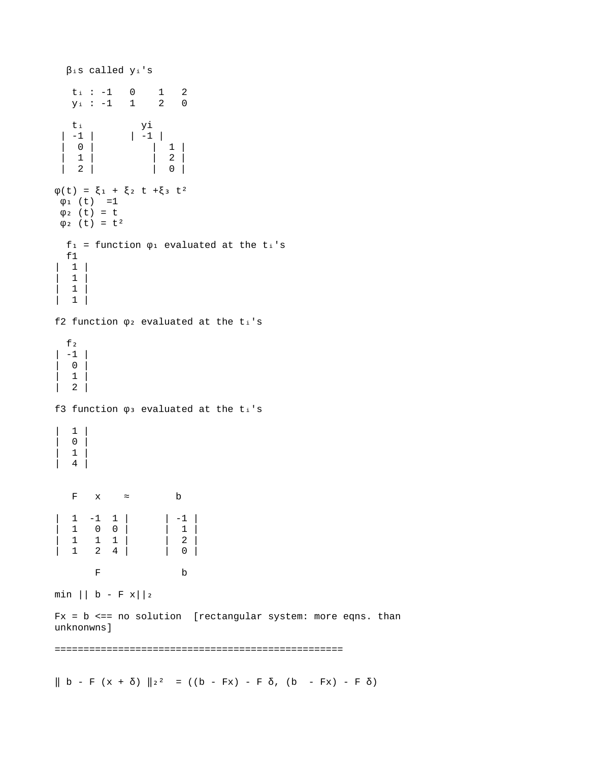βis called yi's  $t_i : -1 0 1 2$ <br> $V_i : -1 1 2 0$  $y_i : -1 1$ t<sub>i</sub> yi  $| -1 |$   $| -1 |$  | 0 | | 1 |  $\begin{array}{|c|c|c|c|c|}\n1 & 1 & 2 & 2 \\
1 & 2 & 0 & 0\n\end{array}$  | 2 | | 0 |  $\varphi(t) = \xi_1 + \xi_2$  t +ξ  $\xi_3$  t<sup>2</sup>  $\varphi_1$  (t) =1  $φ<sub>2</sub> (t) = t$  $φ<sub>2</sub> (t) = t<sup>2</sup>$  $f_1$  = function  $\varphi_1$  evaluated at the t<sub>i</sub>'s f1  $\begin{array}{cc} \end{array}$  $\begin{vmatrix} 1 & 1 \end{vmatrix}$  $\begin{array}{cc} \end{array}$  $\begin{vmatrix} 1 & 1 \end{vmatrix}$ f2 function  $\varphi$  evaluated at the ti's  $f<sub>2</sub>$ | -1 | | 0 |  $\begin{vmatrix} 1 & 1 \end{vmatrix}$ | 2 | f3 function  $\varphi_3$  evaluated at the ti's  $| 1 |$ | 0 | | 1 | | 4 | F  $x = b$  $\begin{array}{|c|c|c|c|c|c|c|c|} \hline |&1 & -1 & 1 & | & & | & -1 \\ \hline |&1 & 0 & 0 & | & & | & 1 \end{array}$ | 1 0 0 | | 1 |<br>| 1 1 1 | | 2 |  $\begin{array}{cccc} | & 1 & 1 & 1 \\ | & 1 & 2 & 4 \end{array}$ | 1 2 4 | | 0 | F b  $min || b - F x || 2$  $Fx = b \leq = no$  solution [rectangular system: more eqns. than unknonwns] ==================================================  $\| b - F (x + \delta) \|_{2^2} = ((b - Fx) - F \delta, (b - Fx) - F \delta)$